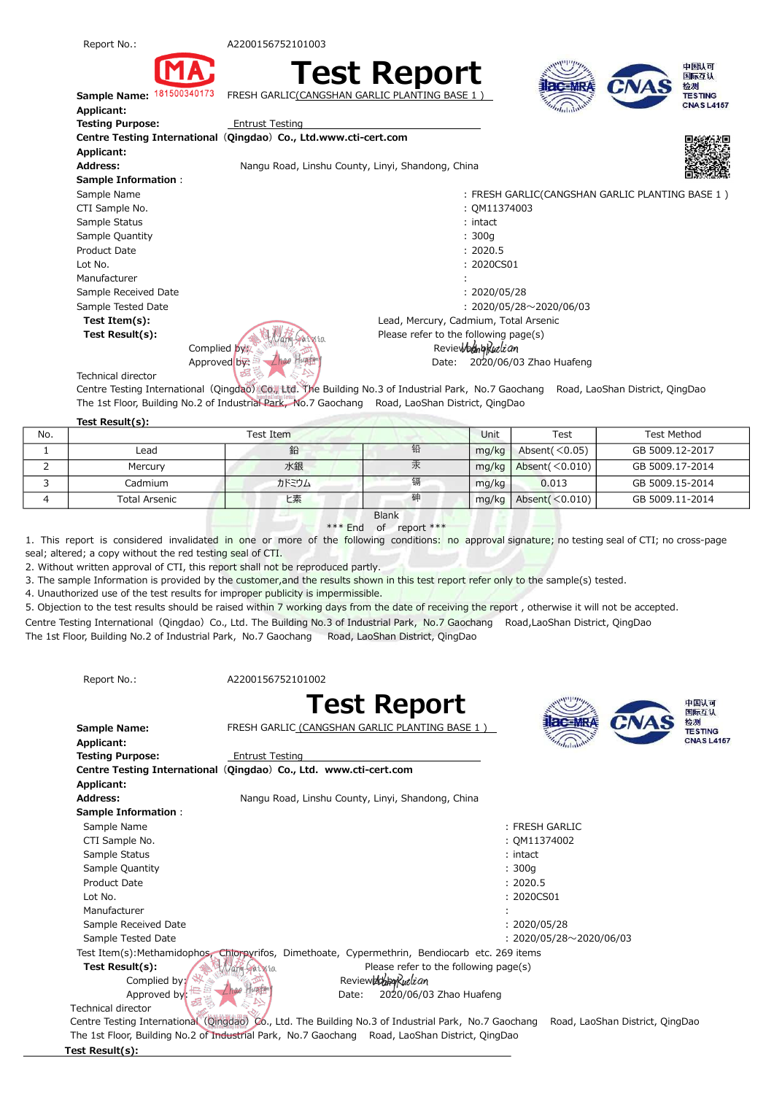



A2200156752101003

FRESH GARLIC CANGSHAN G



 Sample Name: Applicant: Testing Purpose: Applicant: Address: Sample Information: Example Name FRESH GARLIC(CANGSHAN GARLIC PLANTING BASE 1) : Lot No. 2020CS01 : Sample Tested Date 2020/05/28~2020/06/03 Centre Testing International (Qingdao) Co., Ltd.www.cti-cert.com Entrust Testing Test Item(s): Lead, Mercury, Cadmium, Total Arsenic **Test Result(s):**  $\left(\frac{1}{2}\right)^n$  **Please refer to the following page(s)**  Manufacturer Sample Received Date CTI Sample No. Sample Status Sample Quantity Product Date Nangu Road, Linshu County, Linyi, Shandong, China



中国认可

- : QM11374003
- : intact
- : 300g
- : 2020.5
- :

 $: 2020/05/28$ 

Complied by:  $\mathbb{R}$  Reviewed by: Approved by: Angel Line Line by: 2020/06/03 Zhao Huafeng

Technical director

Centre Testing International (Qingdao) Co., Ltd. The Building No.3 of Industrial Park, No.7 Gaochang Road, LaoShan District, QingDao The 1st Floor, Building No.2 of Industrial Park, No.7 Gaochang Road, LaoShan District, QingDao

## Test Result(s):

|     | $1521$ Nesult(3). |       |   |       |                        |                 |
|-----|-------------------|-------|---|-------|------------------------|-----------------|
| No. | Test Item         |       |   | Unit  | Test                   | Test Method     |
|     | Lead              | 鉛     | 铅 | mq/kg | Absent( $\leq$ 0.05)   | GB 5009.12-2017 |
|     | Mercury           | 水銀    | 汞 | mg/kg | Absent( $\leq 0.010$ ) | GB 5009.17-2014 |
|     | Cadmium           | カドミウム | 镉 | mg/kg | 0.013                  | GB 5009.15-2014 |
|     | Total Arsenic     | ヒ素    | 砷 | mg/kg | Absent $(<0.010)$      | GB 5009.11-2014 |

## **Blank** \*\*\* End of report \*\*\*

1. This report is considered invalidated in one or more of the following conditions: no approval signature; no testing seal of CTI; no cross-page seal; altered; a copy without the red testing seal of CTI.

2. Without written approval of CTI, this report shall not be reproduced partly.

3. The sample Information is provided by the customer, and the results shown in this test report refer only to the sample(s) tested.

4. Unauthorized use of the test results for improper publicity is impermissible.

5. Objection to the test results should be raised within 7 working days from the date of receiving the report , otherwise it will not be accepted.

Centre Testing International (Qingdao) Co., Ltd. The Building No.3 of Industrial Park, No.7 Gaochang Road,LaoShan District, QingDao

The 1st Floor, Building No.2 of Industrial Park, No.7 Gaochang Road, LaoShan District, QingDao

Report No.:

A2200156752101002





Test Result(s):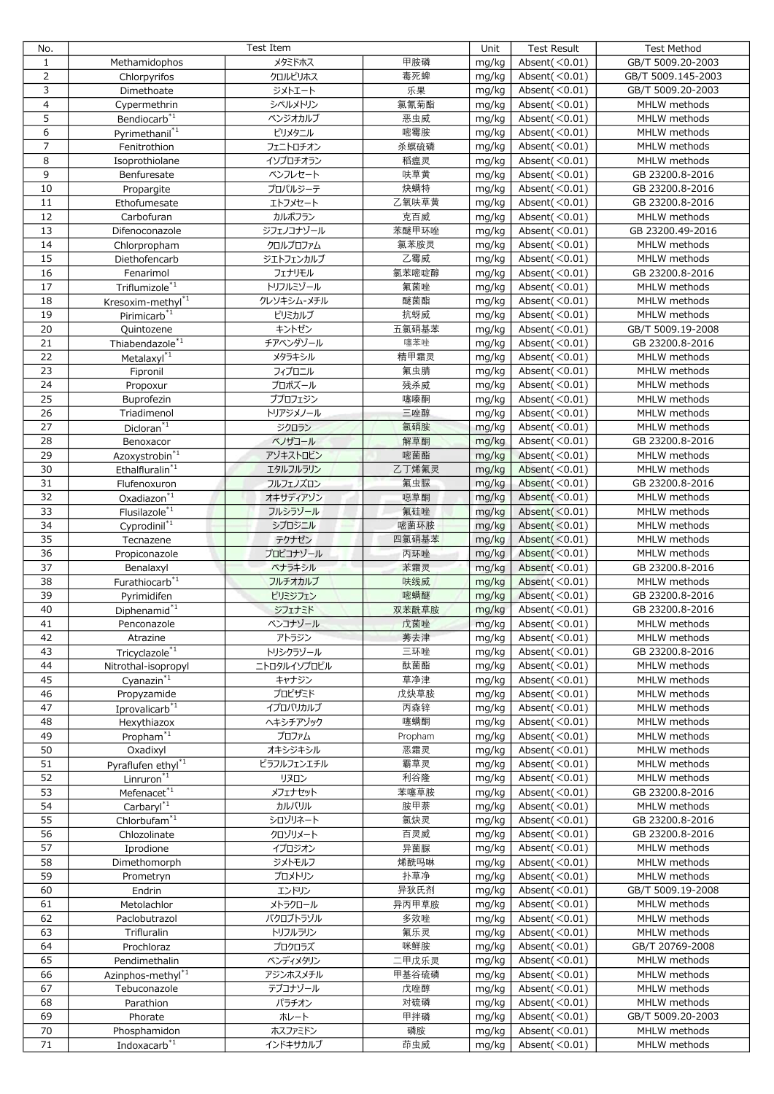| No.             | Test Item                      |             |         | Unit  | <b>Test Result</b>    | <b>Test Method</b> |
|-----------------|--------------------------------|-------------|---------|-------|-----------------------|--------------------|
| $\mathbf{1}$    | Methamidophos                  | メタミドホス      | 甲胺磷     | mg/kg | Absent $(<0.01)$      | GB/T 5009.20-2003  |
| $\overline{2}$  | Chlorpyrifos                   | クロルピリホス     | 毒死蜱     | mg/kg | Absent $(<0.01)$      | GB/T 5009.145-2003 |
| 3               | Dimethoate                     | ジメトエート      | 乐果      | mg/kg | Absent( $\leq 0.01$ ) | GB/T 5009.20-2003  |
| $\overline{a}$  | Cypermethrin                   | シペルメトリン     | 氯氰菊酯    | mg/kg | Absent $(<0.01)$      | MHLW methods       |
| 5               | Bendiocarb <sup>*1</sup>       | ベンジオカルブ     | 恶虫威     | mg/kg | Absent $(<0.01)$      | MHLW methods       |
| 6               |                                | ピリメタニル      | 嘧霉胺     |       |                       | MHLW methods       |
|                 | Pyrimethanil <sup>*1</sup>     |             |         | mg/kg | Absent $(<0.01)$      |                    |
| $\overline{7}$  | Fenitrothion                   | フェニトロチオン    | 杀螟硫磷    | mg/kg | Absent $(<0.01)$      | MHLW methods       |
| 8               | Isoprothiolane                 | イソプロチオラン    | 稻瘟灵     | mg/kg | Absent $(<0.01)$      | MHLW methods       |
| 9               | Benfuresate                    | ベンフレセート     | 呋草黄     | mg/kg | Absent $(<0.01)$      | GB 23200.8-2016    |
| 10              | Propargite                     | プロパルジーテ     | 炔螨特     | mg/kg | Absent( $\leq 0.01$ ) | GB 23200.8-2016    |
| 11              | Ethofumesate                   | エトフメセート     | 乙氧呋草黄   | mg/kg | Absent $(<0.01)$      | GB 23200.8-2016    |
| 12              | Carbofuran                     | カルボフラン      | 克百威     | mg/kg | Absent $(<0.01)$      | MHLW methods       |
| 13              | Difenoconazole                 | ジフェノコナゾール   | 苯醚甲环唑   | mg/kg | Absent $(<0.01)$      | GB 23200.49-2016   |
| 14              | Chlorpropham                   | クロルプロファム    | 氯苯胺灵    | mg/kg | Absent $(<0.01)$      | MHLW methods       |
| 15              | Diethofencarb                  | ジエトフェンカルブ   | 乙霉威     | mg/kg | Absent $(<0.01)$      | MHLW methods       |
| 16              | Fenarimol                      | フェナリモル      | 氯苯嘧啶醇   | mg/kg | Absent $(<0.01)$      | GB 23200.8-2016    |
| 17              |                                |             | 氟菌唑     |       |                       |                    |
|                 | Triflumizole <sup>*1</sup>     | トリフルミゾール    |         | mg/kg | Absent $(<0.01)$      | MHLW methods       |
| 18              | Kresoxim-methyl*1              | クレソキシム-メチル  | 醚菌酯     | mg/kg | Absent $(<0.01)$      | MHLW methods       |
| 19              | Pirimicarb <sup>*1</sup>       | ピリミカルブ      | 抗蚜威     | mg/kg | Absent $(<0.01)$      | MHLW methods       |
| 20              | Quintozene                     | キントゼン       | 五氯硝基苯   | mg/kg | Absent $(<0.01)$      | GB/T 5009.19-2008  |
| 21              | Thiabendazole <sup>*1</sup>    | チアベンダゾール    | 噻苯唑     | mg/kg | Absent $(<0.01)$      | GB 23200.8-2016    |
| $\overline{22}$ | Metalaxyl <sup>*1</sup>        | メタラキシル      | 精甲霜灵    | mg/kg | Absent $(<0.01)$      | MHLW methods       |
| 23              | Fipronil                       | フィプロニル      | 氟虫腈     | mg/kg | Absent( $\leq 0.01$ ) | MHLW methods       |
| 24              | Propoxur                       | プロポズール      | 残杀威     | mg/kg | Absent $(<0.01)$      | MHLW methods       |
| 25              | Buprofezin                     | ブプロフェジン     | 噻嗪酮     | mg/kg | Absent $(<0.01)$      | MHLW methods       |
| 26              | Triadimenol                    | トリアジメノール    | 三唑醇     | mg/kg | Absent $(<0.01)$      | MHLW methods       |
| 27              | $Dicloran^{\ast_1}$            | ジクロラン       | 氯硝胺     | mg/kg | Absent $(<0.01)$      | MHLW methods       |
|                 |                                |             |         |       |                       |                    |
| 28              | Benoxacor                      | ベノザコール      | 解草酮     | mg/kg | Absent $(<0.01)$      | GB 23200.8-2016    |
| 29              | Azoxystrobin <sup>*1</sup>     | アゾキストロビン    | 嘧菌酯     | mg/kg | Absent( $\leq 0.01$ ) | MHLW methods       |
| 30              | Ethalfluralin <sup>*1</sup>    | エタルフルラリン    | 乙丁烯氟灵   | mg/kg | Absent $(<0.01)$      | MHLW methods       |
| 31              | Flufenoxuron                   | フルフェノズロン    | 氟虫脲     | mg/kg | Absent $(<0.01)$      | GB 23200.8-2016    |
| 32              | Oxadiazon <sup>*1</sup>        | オキサディアゾン    | 噁草酮     | mg/kg | Absent $(<0.01)$      | MHLW methods       |
| 33              | Flusilazole <sup>*1</sup>      | フルシラゾール     | 氟硅唑     | mg/kg | Absent $(0.01)$       | MHLW methods       |
| 34              | Cyprodinil <sup>*1</sup>       | シプロジニル      | 嘧菌环胺    | mg/kg | Absent $(<0.01)$      | MHLW methods       |
| 35              | Tecnazene                      | テクナゼン       | 四氯硝基苯   | mg/kg | Absent $(<0.01)$      | MHLW methods       |
| 36              | Propiconazole                  | プロピコナゾール    | 丙环唑     | mg/kg | Absent $(<0.01)$      | MHLW methods       |
| 37              | Benalaxyl                      | ベナラキシル      | 苯霜灵     | mg/kg | Absent $(<0.01)$      | GB 23200.8-2016    |
| 38              | Furathiocarb <sup>*1</sup>     | フルチオカルブ     | 呋线威     | mg/kg | Absent $(<0.01)$      | MHLW methods       |
| 39              |                                |             | 嘧螨醚     |       | Absent $(<0.01)$      | GB 23200.8-2016    |
|                 | Pyrimidifen                    | ピリミジフェン     |         | mg/kg |                       |                    |
| 40              | Diphenamid <sup>*1</sup>       | ジフェナミド      | 双苯酰草胺   | mg/kg | Absent $(<0.01)$      | GB 23200.8-2016    |
| 41              | Penconazole                    | ペンコナゾール     | 戊菌唑     | mg/kg | Absent $($ < 0.01)    | MHLW methods       |
| 42              | Atrazine                       | アトラジン       | 莠去津     | mg/kg | Absent $(<0.01)$      | MHLW methods       |
| 43              | Tricyclazole <sup>*1</sup>     | トリシクラゾール    | 三环唑     | mg/kg | Absent $(<0.01)$      | GB 23200.8-2016    |
| 44              | Nitrothal-isopropyl            | ニトロタルイソプロピル | 酞菌酯     | mg/kg | Absent $(<0.01)$      | MHLW methods       |
| 45              | Cyanazin $*1$                  | キャナジン       | 草净津     | mg/kg | Absent $(<0.01)$      | MHLW methods       |
| 46              | Propyzamide                    | プロピザミド      | 戊炔草胺    | mg/kg | Absent $(<0.01)$      | MHLW methods       |
| 47              | Iprovalicarb <sup>*1</sup>     | イプロバリカルブ    | 丙森锌     | mg/kg | Absent $(<0.01)$      | MHLW methods       |
| 48              | Hexythiazox                    | ヘキシチアゾック    | 噻螨酮     | mg/kg | Absent $(<0.01)$      | MHLW methods       |
| 49              | Propham $\sqrt[3]{1}$          | プロファム       | Propham | mg/kg | Absent $(<0.01)$      | MHLW methods       |
| 50              |                                |             |         |       | Absent $(<0.01)$      |                    |
|                 | Oxadixyl                       | オキシジキシル     | 恶霜灵     | mg/kg |                       | MHLW methods       |
| 51              | Pyraflufen ethyl <sup>*1</sup> | ピラフルフェンエチル  | 霸草灵     | mg/kg | Absent $(<0.01)$      | MHLW methods       |
| 52              | Linruron $\overline{1}$        | リヌロン        | 利谷隆     | mg/kg | Absent $(<0.01)$      | MHLW methods       |
| 53              | Mefenacet <sup>*1</sup>        | メフェナセット     | 苯噻草胺    | mg/kg | Absent $(<0.01)$      | GB 23200.8-2016    |
| 54              | Carbaryl <sup>*1</sup>         | カルバリル       | 胺甲萘     | mg/kg | Absent $(<0.01)$      | MHLW methods       |
| 55              | $Chlorbufam^{\ast 1}$          | シロゾリネート     | 氯炔灵     | mg/kg | Absent $(<0.01)$      | GB 23200.8-2016    |
| 56              | Chlozolinate                   | クロゾリメート     | 百灵威     | mg/kg | Absent $(<0.01)$      | GB 23200.8-2016    |
| 57              | Iprodione                      | イプロジオン      | 异菌脲     | mg/kg | Absent $(<0.01)$      | MHLW methods       |
| 58              | Dimethomorph                   | ジメトモルフ      | 烯酰吗啉    | mg/kg | Absent $(<0.01)$      | MHLW methods       |
| 59              | Prometryn                      | プロメトリン      | 扑草净     | mg/kg | Absent $(<0.01)$      | MHLW methods       |
| 60              | Endrin                         | エンドリン       | 异狄氏剂    | mg/kg | Absent $(<0.01)$      | GB/T 5009.19-2008  |
| 61              | Metolachlor                    | メトラクロール     | 异丙甲草胺   | mg/kg | Absent $(<0.01)$      | MHLW methods       |
|                 |                                |             |         |       |                       |                    |
| 62              | Paclobutrazol                  | パクロブトラゾル    | 多效唑     | mg/kg | Absent $(<0.01)$      | MHLW methods       |
| 63              | Trifluralin                    | トリフルラリン     | 氟乐灵     | mg/kg | Absent $(<0.01)$      | MHLW methods       |
| 64              | Prochloraz                     | プロクロラズ      | 咪鲜胺     | mg/kg | Absent $(<0.01)$      | GB/T 20769-2008    |
| 65              | Pendimethalin                  | ペンディメタリン    | 二甲戊乐灵   | mg/kg | Absent $(<0.01)$      | MHLW methods       |
| 66              | Azinphos-methyl <sup>*1</sup>  | アジンホスメチル    | 甲基谷硫磷   | mg/kg | Absent $(<0.01)$      | MHLW methods       |
| 67              | Tebuconazole                   | テブコナゾール     | 戊唑醇     | mg/kg | Absent $(<0.01)$      | MHLW methods       |
| 68              | Parathion                      | パラチオン       | 对硫磷     | mg/kg | Absent $(<0.01)$      | MHLW methods       |
| 69              | Phorate                        | ホレート        | 甲拌磷     | mg/kg | Absent $(<0.01)$      | GB/T 5009.20-2003  |
| 70              | Phosphamidon                   | ホスファミドン     | 磷胺      | mg/kg | Absent $(<0.01)$      | MHLW methods       |
| 71              | Indoxacarb <sup>*1</sup>       | インドキサカルブ    | 茚虫威     | mg/kg | Absent $(<0.01)$      | MHLW methods       |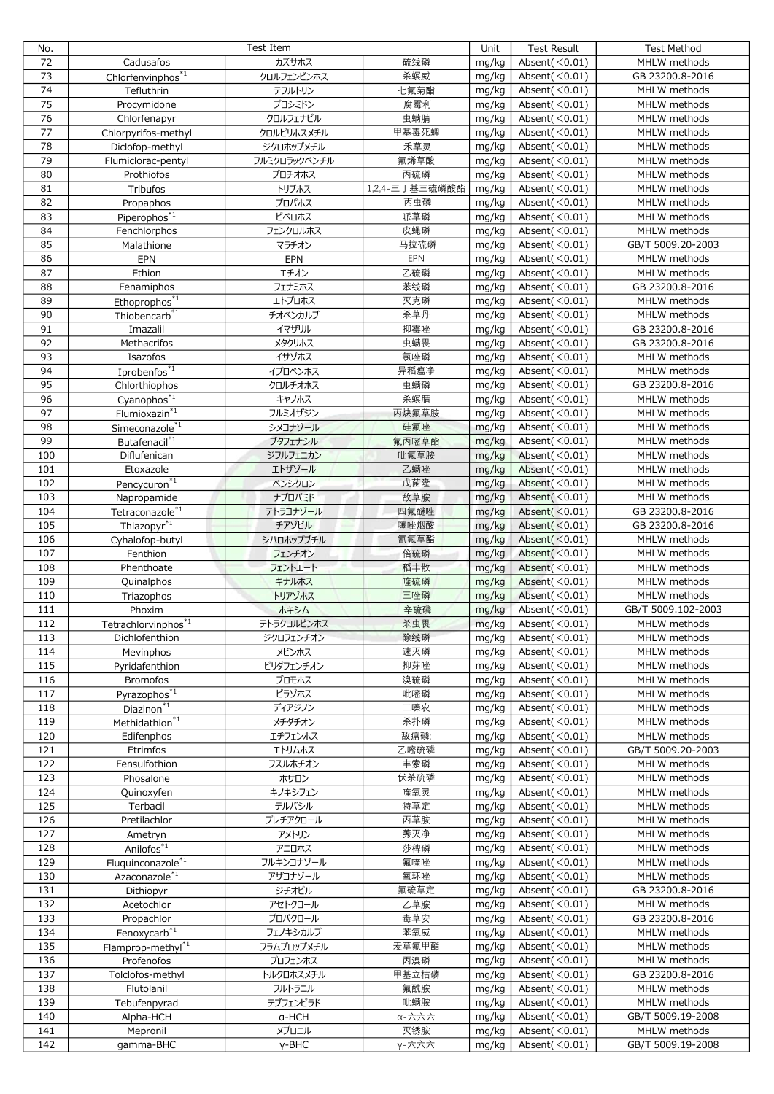| No.             | Test Item                     |              |                | Unit  | <b>Test Result</b>          | <b>Test Method</b> |
|-----------------|-------------------------------|--------------|----------------|-------|-----------------------------|--------------------|
| 72              | Cadusafos                     | カズサホス        | 硫线磷            | mg/kg | Absent $(<0.01)$            | MHLW methods       |
| 73              | Chlorfenvinphos <sup>*1</sup> | クロルフェンビンホス   | 杀螟威            | mg/kg | Absent $(<0.01)$            | GB 23200.8-2016    |
| 74              | Tefluthrin                    | テフルトリン       | 七氟菊酯           | mg/kg | Absent $(<0.01)$            | MHLW methods       |
| 75              | Procymidone                   | プロシミドン       | 腐霉利            | mg/kg | Absent $(<0.01)$            | MHLW methods       |
| $\overline{76}$ | Chlorfenapyr                  | クロルフェナピル     | 虫螨腈            | mg/kg | Absent $(<0.01)$            | MHLW methods       |
| 77              | Chlorpyrifos-methyl           | クロルピリホスメチル   | 甲基毒死蜱          | mg/kg | Absent $(<0.01)$            | MHLW methods       |
| 78              |                               |              | 禾草灵            |       |                             | MHLW methods       |
| 79              | Diclofop-methyl               | ジクロホップメチル    |                | mg/kg | Absent $(<0.01)$            |                    |
|                 | Flumiclorac-pentyl            | フルミクロラックペンチル | 氟烯草酸           | mg/kg | Absent $(<0.01)$            | MHLW methods       |
| 80              | Prothiofos                    | プロチオホス       | 丙硫磷            | mg/kg | Absent $(<0.01)$            | MHLW methods       |
| 81              | Tribufos                      | トリブホス        | 1,2,4-三丁基三硫磷酸酯 | mg/kg | Absent $(<0.01)$            | MHLW methods       |
| 82              | Propaphos                     | プロパホス        | 丙虫磷            | mg/kg | Absent $(<0.01)$            | MHLW methods       |
| 83              | Piperophos <sup>*1</sup>      | ピペロホス        | 哌草磷            | mg/kg | Absent $(\overline{<}0.01)$ | MHLW methods       |
| 84              | Fenchlorphos                  | フェンクロルホス     | 皮蝇磷            | mg/kg | Absent $(<0.01)$            | MHLW methods       |
| 85              | Malathione                    | マラチオン        | 马拉硫磷           | mg/kg | Absent $(<0.01)$            | GB/T 5009.20-2003  |
| 86              | EPN                           | EPN          | EPN            | mg/kg | Absent $(<0.01)$            | MHLW methods       |
| 87              | Ethion                        | エチオン         | 乙硫磷            | mg/kg | Absent $(<0.01)$            | MHLW methods       |
| 88              | Fenamiphos                    | フェナミホス       | 苯线磷            | mg/kg | Absent $(<0.01)$            | GB 23200.8-2016    |
| 89              | Ethoprophos <sup>*1</sup>     | エトプロホス       | 灭克磷            | mg/kg | Absent $(<0.01)$            | MHLW methods       |
| 90              | Thiobencarb $*$ <sup>1</sup>  | チオベンカルブ      | 杀草丹            | mg/kg | Absent $(<0.01)$            | MHLW methods       |
| 91              | Imazalil                      | イマザリル        | 抑霉唑            | mg/kg | Absent $(<0.01)$            | GB 23200.8-2016    |
| 92              | Methacrifos                   | メタクリホス       | 虫螨畏            | mg/kg | Absent $(<0.01)$            | GB 23200.8-2016    |
| 93              | Isazofos                      | イサゾホス        | 氯唑磷            | mg/kg | Absent $(<0.01)$            | MHLW methods       |
| 94              | Iprobenfos <sup>*1</sup>      | イプロベンホス      | 异稻瘟净           | mg/kg | Absent $(<0.01)$            | MHLW methods       |
| 95              |                               |              | 虫螨磷            |       | Absent $(<0.01)$            | GB 23200.8-2016    |
| 96              | Chlorthiophos                 | クロルチオホス      |                | mg/kg |                             |                    |
|                 | Cyanophos <sup>*1</sup>       | キャノホス        | 杀螟腈            | mg/kg | Absent $(<0.01)$            | MHLW methods       |
| 97              | Flumioxazin <sup>*1</sup>     | フルミオザジン      | 丙炔氟草胺          | mg/kg | Absent $(<0.01)$            | MHLW methods       |
| 98              | Simeconazole <sup>*1</sup>    | シメコナゾール      | 硅氟唑            | mg/kg | Absent $(<0.01)$            | MHLW methods       |
| 99              | Butafenacil <sup>*1</sup>     | ブタフェナシル      | 氟丙嘧草酯          | mg/kg | Absent $(<0.01)$            | MHLW methods       |
| 100             | Diflufenican                  | ジフルフェニカン     | 吡氟草胺           | mg/kg | Absent $(<0.01)$            | MHLW methods       |
| 101             | Etoxazole                     | エトザゾール       | 乙螨唑            | mg/kg | Absent $(<0.01)$            | MHLW methods       |
| 102             | Pencycuron <sup>*1</sup>      | ペンシクロン       | 戊菌隆            | mg/kg | Absent $(<0.01)$            | MHLW methods       |
| 103             | Napropamide                   | ナプロパミド       | 敌草胺            | mg/kg | Absent $(<0.01)$            | MHLW methods       |
| 104             | Tetraconazole <sup>*1</sup>   | テトラコナゾール     | 四氟醚唑           | mg/kg | Absent $($ $<$ 0.01)        | GB 23200.8-2016    |
| 105             | Thiazopyr <sup>*1</sup>       | チアゾピル        | 噻唑烟酸           | mg/kg | Absent $(<0.01)$            | GB 23200.8-2016    |
| 106             | Cyhalofop-butyl               | シハロホップブチル    | 氰氟草酯           | mg/kg | Absent $(<0.01)$            | MHLW methods       |
| 107             | Fenthion                      | フェンチオン       | 倍硫磷            | mg/kg | Absent $(<0.01)$            | MHLW methods       |
| 108             | Phenthoate                    | フェントエート      | 稻丰散            | mg/kg | Absent $(<0.01)$            | MHLW methods       |
| 109             | Quinalphos                    | キナルホス        | 喹硫磷            | mg/kg | Absent( $<$ 0.01)           | MHLW methods       |
| 110             | Triazophos                    | トリアゾホス       | 三唑磷            | mg/kg | Absent $(<0.01)$            | MHLW methods       |
| 111             |                               | ホキシム         | 辛硫磷            | mg/kg | Absent $(<0.01)$            | GB/T 5009.102-2003 |
| 112             | Phoxim                        | テトラクロルビンホス   | 杀虫畏            | mg/kg | Absent $(<0.01)$            | MHLW methods       |
|                 | Tetrachlorvinphos*1           |              |                |       |                             |                    |
| 113             | Dichlofenthion                | ジクロフェンチオン    | 除线磷            | mg/kg | Absent $(<0.01)$            | MHLW methods       |
| 114             | Mevinphos                     | メビンホス        | 速灭磷            | mg/kg | Absent $(<0.01)$            | MHLW methods       |
| 115             | Pyridafenthion                | ピリダフェンチオン    | 抑芽唑            | mg/kg | Absent $(<0.01)$            | MHLW methods       |
| 116             | <b>Bromofos</b>               | ブロモホス        | 溴硫磷            | mg/kg | Absent $(<0.01)$            | MHLW methods       |
| 117             | Pyrazophos <sup>*1</sup>      | ピラゾホス        | 吡嘧磷            | mg/kg | Absent $(<0.01)$            | MHLW methods       |
| 118             | $Diazinon*1$                  | ディアジノン       | 二嗪农            | mg/kg | Absent $(<0.01)$            | MHLW methods       |
| 119             | Methidathion <sup>*1</sup>    | メチダチオン       | 杀扑磷            | mg/kg | Absent $(<0.01)$            | MHLW methods       |
| 120             | Edifenphos                    | エヂフェンホス      | 敌瘟磷;           | mg/kg | Absent $(<0.01)$            | MHLW methods       |
| 121             | Etrimfos                      | エトリムホス       | 乙嘧硫磷           | mg/kg | Absent $(<0.01)$            | GB/T 5009.20-2003  |
| 122             | Fensulfothion                 | フスルホチオン      | 丰索磷            | mg/kg | Absent $(<0.01)$            | MHLW methods       |
| 123             | Phosalone                     | ホサロン         | 伏杀硫磷           | mg/kg | Absent $(<0.01)$            | MHLW methods       |
| 124             | Quinoxyfen                    | キノキシフェン      | 喹氧灵            | mg/kg | Absent $(<0.01)$            | MHLW methods       |
| 125             | Terbacil                      | テルバシル        | 特草定            | mg/kg | Absent $(<0.01)$            | MHLW methods       |
| 126             | Pretilachlor                  | プレチアクロール     | 丙草胺            | mg/kg | Absent $(<0.01)$            | MHLW methods       |
| 127             | Ametryn                       | アメトリン        | 莠灭净            | mg/kg | Absent $(<0.01)$            | MHLW methods       |
| 128             | Anilofos <sup>*1</sup>        | アニロホス        | 莎稗磷            | mg/kg | Absent $(<0.01)$            | MHLW methods       |
| 129             | Fluquinconazole <sup>*1</sup> | フルキンコナゾール    | 氟喹唑            | mg/kg | Absent $(<0.01)$            | MHLW methods       |
| 130             | Azaconazole <sup>*1</sup>     | アザコナゾール      | 氧环唑            | mg/kg | Absent $(<0.01)$            | MHLW methods       |
| 131             | Dithiopyr                     | ジチオピル        | 氟硫草定           | mg/kg | Absent $(<0.01)$            | GB 23200.8-2016    |
| 132             | Acetochlor                    | アセトクロール      | 乙草胺            | mg/kg | Absent $(<0.01)$            | MHLW methods       |
|                 |                               |              |                |       |                             |                    |
| 133             | Propachlor                    | プロパクロール      | 毒草安            | mg/kg | Absent $(<0.01)$            | GB 23200.8-2016    |
| 134             | Fenoxycarb <sup>*1</sup>      | フェノキシカルブ     | 苯氧威            | mg/kg | Absent $(<0.01)$            | MHLW methods       |
| 135             | Flamprop-methyl $*1$          | フラムプロップメチル   | 麦草氟甲酯          | mg/kg | Absent $(<0.01)$            | MHLW methods       |
| 136             | Profenofos                    | プロフェンホス      | 丙溴磷            | mg/kg | Absent $(<0.01)$            | MHLW methods       |
| 137             | Tolclofos-methyl              | トルクロホスメチル    | 甲基立枯磷          | mg/kg | Absent $(<0.01)$            | GB 23200.8-2016    |
| 138             | Flutolanil                    | フルトラニル       | 氟酰胺            | mg/kg | Absent $(<0.01)$            | MHLW methods       |
| 139             | Tebufenpyrad                  | テブフェンピラド     | 吡螨胺            | mg/kg | Absent $(<0.01)$            | MHLW methods       |
| 140             | Alpha-HCH                     | a-HCH        | α-六六六          | mg/kg | Absent $(<0.01)$            | GB/T 5009.19-2008  |
| 141             | Mepronil                      | メプロニル        | 灭锈胺            | mg/kg | Absent $(<0.01)$            | MHLW methods       |
| 142             | qamma-BHC                     | y-BHC        | γ-六六六          | mg/kg | Absent $(<0.01)$            | GB/T 5009.19-2008  |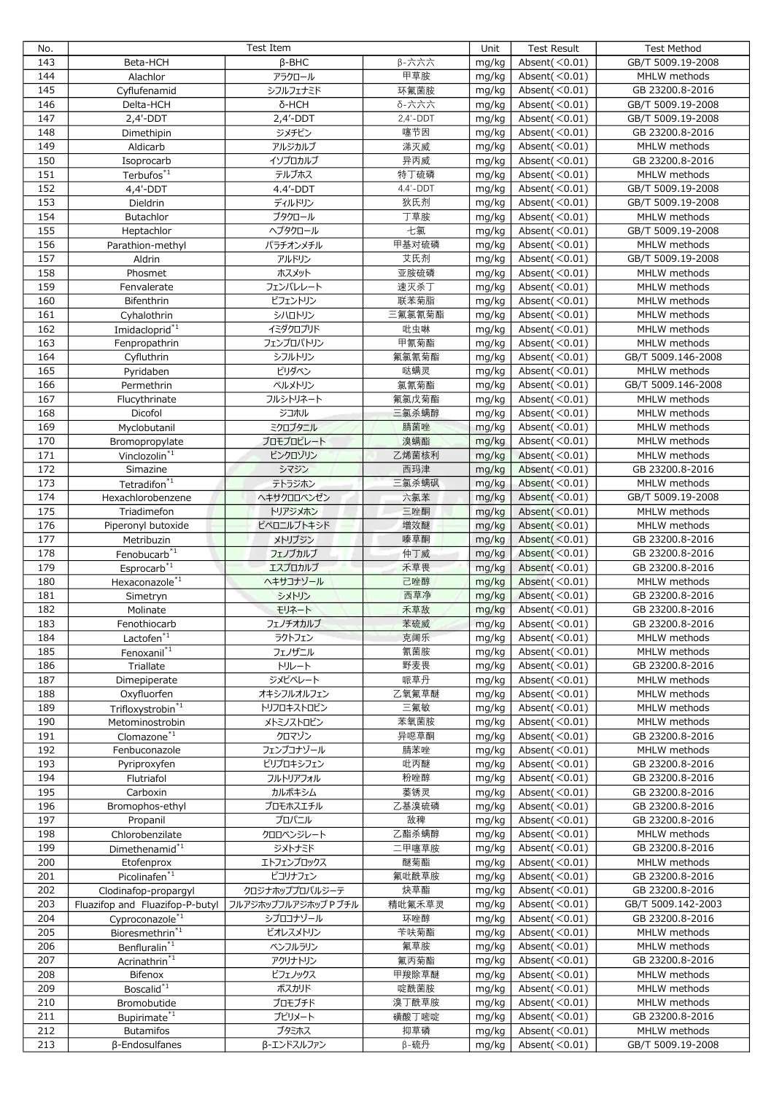| No.        | Test Item                          |                      |                    | Unit           | <b>Test Result</b>                   | <b>Test Method</b>                |
|------------|------------------------------------|----------------------|--------------------|----------------|--------------------------------------|-----------------------------------|
| 143        | Beta-HCH                           | $\beta$ -BHC         | β-六六六              | mg/kg          | Absent $(<0.01)$                     | GB/T 5009.19-2008                 |
| 144        | Alachlor                           | アラクロール               | 甲草胺                | mg/kg          | Absent $(<0.01)$                     | MHLW methods                      |
| 145        | Cyflufenamid                       | シフルフェナミド             | 环氟菌胺               | mg/kg          | Absent $(<0.01)$                     | GB 23200.8-2016                   |
| 146        | Delta-HCH                          | δ-HCH                | 不六六~る              | mg/kg          | Absent $(<0.01)$                     | GB/T 5009.19-2008                 |
| 147        | $2,4'$ -DDT                        | $2,4'$ -DDT          | $2,4'-DDT$         | mg/kg          | Absent $(<0.01)$                     | GB/T 5009.19-2008                 |
| 148        | Dimethipin                         | ジメチピン                | 噻节因                | mg/kg          | Absent $(<0.01)$                     | GB 23200.8-2016                   |
| 149        | Aldicarb                           | アルジカルブ               | 涕灭威                | mg/kg          | Absent $(<0.01)$                     | MHLW methods                      |
|            |                                    |                      |                    |                |                                      |                                   |
| 150        | Isoprocarb                         | イソプロカルブ              | 异丙威                | mg/kg          | Absent $(<0.01)$                     | GB 23200.8-2016                   |
| 151        | Terbufos $*1$                      | テルブホス                | 特丁硫磷               | mg/kg          | Absent $(<0.01)$                     | MHLW methods                      |
| 152        | $4,4'$ -DDT                        | 4.4'-DDT             | $4.4' - DDT$       | mg/kg          | Absent $(<0.01)$                     | GB/T 5009.19-2008                 |
| 153        | Dieldrin                           | ディルドリン               | 狄氏剂                | mg/kg          | Absent $(<0.01)$                     | GB/T 5009.19-2008                 |
| 154        | Butachlor                          | ブタクロール               | 丁草胺                | mg/kg          | Absent $(<0.01)$                     | MHLW methods                      |
| 155        | Heptachlor                         | ヘプタクロール              | 七氯                 | mg/kg          | Absent $(<0.01)$                     | GB/T 5009.19-2008                 |
| 156        | Parathion-methyl                   | パラチオンメチル             | 甲基对硫磷              | mg/kg          | Absent $(<0.01)$                     | MHLW methods                      |
| 157        | Aldrin                             | アルドリン                | 艾氏剂                | mg/kg          | Absent $(<0.01)$                     | GB/T 5009.19-2008                 |
| 158        | Phosmet                            | ホスメット                | 亚胺硫磷               | mg/kg          | Absent $(<0.01)$                     | MHLW methods                      |
| 159        | Fenvalerate                        | フェンバレレート             | 速灭杀丁               | mg/kg          | Absent $(<0.01)$                     | MHLW methods                      |
| 160        | Bifenthrin                         | ビフェントリン              | 联苯菊脂               | mg/kg          | Absent $(<0.01)$                     | MHLW methods                      |
| 161        | Cyhalothrin                        | シハロトリン               | 三氟氯氰菊酯             | mg/kg          | Absent $(<0.01)$                     | MHLW methods                      |
|            |                                    |                      |                    |                |                                      |                                   |
| 162        | Imidacloprid <sup>*1</sup>         | イミダクロプリド             | 吡虫啉                | mg/kg          | Absent $(<0.01)$                     | MHLW methods                      |
| 163        | Fenpropathrin                      | フェンプロパトリン            | 甲氰菊酯               | mg/kg          | Absent $(<0.01)$                     | MHLW methods                      |
| 164        | Cyfluthrin                         | シフルトリン               | 氟氯氰菊酯              | mg/kg          | Absent $(<0.01)$                     | GB/T 5009.146-2008                |
| 165        | Pyridaben                          | ピリダベン                | 哒螨灵                | mg/kg          | Absent $(<0.01)$                     | MHLW methods                      |
| 166        | Permethrin                         | ペルメトリン               | 氯氰菊酯               | mg/kg          | Absent $(<0.01)$                     | GB/T 5009.146-2008                |
| 167        | Flucythrinate                      | フルシトリネート             | 氟氯戊菊酯              | mg/kg          | Absent $(<0.01)$                     | MHLW methods                      |
| 168        | Dicofol                            | ジコホル                 | 三氯杀螨醇              | mg/kg          | Absent $(<0.01)$                     | MHLW methods                      |
| 169        | Myclobutanil                       | ミクロブタニル              | 腈菌唑                | mg/kg          | Absent $(<0.01)$                     | MHLW methods                      |
| 170        | Bromopropylate                     | ブロモプロピレート            | 溴螨酯                | mg/kg          | Absent $(<0.01)$                     | MHLW methods                      |
| 171        | Vinclozolin <sup>*1</sup>          | ビンクロゾリン              | 乙烯菌核利              | mg/kg          | Absent( $<$ 0.01)                    | MHLW methods                      |
| 172        | Simazine                           |                      | 西玛津                | mg/kg          | Absent $(<0.01)$                     | GB 23200.8-2016                   |
|            |                                    | シマジン                 |                    |                |                                      |                                   |
| 173        | Tetradifon $1$                     | テトラジホン               | 三氯杀螨砜              | mg/kg          | Absent $(<0.01)$                     | MHLW methods                      |
| 174        | Hexachlorobenzene                  | ヘキサクロロベンゼン           | 六氯苯                | mg/kg          | Absent $(<0.01)$                     | GB/T 5009.19-2008                 |
| 175        | Triadimefon                        | トリアジメホン              | 三唑酮                | mg/kg          | Absent $(0.01)$                      | MHLW methods                      |
| 176        | Piperonyl butoxide                 | ピペロニルブトキシド           | 增效醚                | mg/kg          | Absent $(<0.01)$                     | MHLW methods                      |
| 177        | Metribuzin                         | メトリブジン               | 嗪草酮                | mg/kg          | Absent $(<0.01)$                     | GB 23200.8-2016                   |
| 178        | Fenobucarb <sup>*1</sup>           | フェノブカルブ              | 仲丁威                | mg/kg          | Absent $(<0.01)$                     | GB 23200.8-2016                   |
| 179        | $Esprocarb^{*1}$                   | エスプロカルブ              | 禾草畏                | mg/kg          | Absent( $<$ 0.01)                    | GB 23200.8-2016                   |
| 180        | Hexaconazole <sup>*1</sup>         | ヘキサコナゾール             | 己唑醇                | mg/kg          | Absent( $<$ 0.01)                    | MHLW methods                      |
| 181        | Simetryn                           | シメトリン                | 西草净                | mg/kg          | Absent $(<0.01)$                     | GB 23200.8-2016                   |
| 182        | Molinate                           | モリネート                | 禾草敌                | mg/kg          | Absent $(<0.01)$                     | GB 23200.8-2016                   |
| 183        | Fenothiocarb                       | フェノチオカルブ             | 苯硫威                | mg/kg          | Absent $(<0.01)$                     | GB 23200.8-2016                   |
|            |                                    |                      | 克阔乐                |                | Absent( $\leq 0.01$ )                |                                   |
| 184        | Lactofen $1$                       | ラクトフェン               |                    | mg/kg          |                                      | MHLW methods                      |
| 185        | Fenoxanil <sup>*1</sup>            | フェノザニル               | 氰菌胺                | mg/kg          | Absent $(<0.01)$                     | MHLW methods                      |
| 186        | Triallate                          | トリレート                | 野麦畏                | mg/kg          | Absent $(<0.01)$                     | GB 23200.8-2016                   |
| 187        | Dimepiperate                       | ジメピペレート              | 哌草丹                | mg/kg          | Absent $(<0.01)$                     | MHLW methods                      |
| 188        | Oxyfluorfen                        | オキシフルオルフェン           | 乙氧氟草醚              | mg/kg          | Absent $(<0.01)$                     | MHLW methods                      |
| 189        | Trifloxystrobin <sup>*1</sup>      | トリフロキストロビン           | 三氟敏                | mg/kg          | Absent $(<0.01)$                     | MHLW methods                      |
| 190        | Metominostrobin                    | メトミノストロビン            | 苯氧菌胺               | mg/kg          | Absent $(<0.01)$                     | MHLW methods                      |
| 191        | Clomazone <sup>*1</sup>            | クロマゾン                | 异噁草酮               | mg/kg          | Absent $(<0.01)$                     | GB 23200.8-2016                   |
| 192        | Fenbuconazole                      | フェンブコナゾール            | 腈苯唑                | mg/kg          | Absent $(<0.01)$                     | MHLW methods                      |
| 193        | Pyriproxyfen                       | ピリプロキシフェン            | 吡丙醚                | mg/kg          | Absent $(<0.01)$                     | GB 23200.8-2016                   |
| 194        | Flutriafol                         | フルトリアフォル             | 粉唑醇                | mg/kg          | Absent $(<0.01)$                     | GB 23200.8-2016                   |
| 195        | Carboxin                           | カルボキシム               | 萎锈灵                | mg/kg          | Absent $(<0.01)$                     | GB 23200.8-2016                   |
| 196        |                                    |                      |                    |                | Absent $(<0.01)$                     | GB 23200.8-2016                   |
|            | Bromophos-ethyl                    | ブロモホスエチル             | 乙基溴硫磷              | mg/kg          |                                      |                                   |
| 197        | Propanil                           | プロパニル                | 敌稗                 | mg/kg          | Absent $(<0.01)$                     | GB 23200.8-2016                   |
| 198        | Chlorobenzilate                    | クロロベンジレート            | 乙酯杀螨醇              | mg/kg          | Absent $(<0.01)$                     | MHLW methods                      |
| 199        | Dimethenamid <sup>*1</sup>         | ジメトナミド               | 二甲噻草胺              | mg/kg          | Absent $(<0.01)$                     | GB 23200.8-2016                   |
| 200        | Etofenprox                         | エトフェンプロックス           | 醚菊酯                | mg/kg          | Absent $(<0.01)$                     | MHLW methods                      |
| 201        | Picolinafen <sup>*1</sup>          | ピコリナフェン              | 氟吡酰草胺              | mg/kg          | Absent $(<0.01)$                     | GB 23200.8-2016                   |
| 202        | Clodinafop-propargyl               | クロジナホッププロパルジーテ       | 炔草酯                | mg/kg          | Absent $(<0.01)$                     | GB 23200.8-2016                   |
| 203        | Fluazifop and Fluazifop-P-butyl    | フルアジホップフルアジホップ P ブチル | 精吡氟禾草灵             | mg/kg          | Absent $(<0.01)$                     | GB/T 5009.142-2003                |
| 204        | Cyproconazole <sup>*1</sup>        | シプロコナゾール             | 环唑醇                | mg/kg          | Absent $(<0.01)$                     | GB 23200.8-2016                   |
| 205        | Bioresmethrin <sup>*1</sup>        | ビオレスメトリン             | 苄呋菊酯               | mg/kg          | Absent $(<0.01)$                     | MHLW methods                      |
| 206        | Benfluralin <sup>*1</sup>          | ベンフルラリン              | 氟草胺                | mg/kg          | Absent $(<0.01)$                     | MHLW methods                      |
| 207        |                                    |                      | 氟丙菊酯               | mg/kg          | Absent $(<0.01)$                     | GB 23200.8-2016                   |
|            |                                    |                      |                    |                |                                      |                                   |
|            | Acrinathrin <sup>*1</sup>          | アクリナトリン              |                    |                |                                      |                                   |
| 208        | Bifenox                            | ビフェノックス              | 甲羧除草醚              | mg/kg          | Absent $(<0.01)$                     | MHLW methods                      |
| 209        | Boscalid*1                         | ボスカリド                | 啶酰菌胺               | mg/kg          | Absent $(<0.01)$                     | MHLW methods                      |
| 210        | Bromobutide                        | ブロモブチド               | 溴丁酰草胺              | mg/kg          | Absent $(<0.01)$                     | MHLW methods                      |
| 211        | Bupirimate <sup>*1</sup>           | ブピリメート               | 磺酸丁嘧啶              | mg/kg          | Absent $(<0.01)$                     | GB 23200.8-2016                   |
| 212<br>213 | <b>Butamifos</b><br>β-Endosulfanes | ブタミホス<br>β-エンドスルファン  | 抑草磷<br>$\beta$ -硫丹 | mg/kg<br>mg/kg | Absent $(<0.01)$<br>Absent $(<0.01)$ | MHLW methods<br>GB/T 5009.19-2008 |